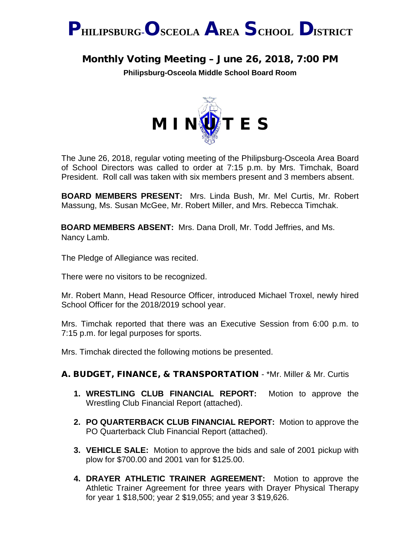

## Monthly Voting Meeting – June 26, 2018, 7:00 PM

**Philipsburg-Osceola Middle School Board Room**



The June 26, 2018, regular voting meeting of the Philipsburg-Osceola Area Board of School Directors was called to order at 7:15 p.m. by Mrs. Timchak, Board President. Roll call was taken with six members present and 3 members absent.

**BOARD MEMBERS PRESENT:** Mrs. Linda Bush, Mr. Mel Curtis, Mr. Robert Massung, Ms. Susan McGee, Mr. Robert Miller, and Mrs. Rebecca Timchak.

**BOARD MEMBERS ABSENT:** Mrs. Dana Droll, Mr. Todd Jeffries, and Ms. Nancy Lamb.

The Pledge of Allegiance was recited.

There were no visitors to be recognized.

Mr. Robert Mann, Head Resource Officer, introduced Michael Troxel, newly hired School Officer for the 2018/2019 school year.

Mrs. Timchak reported that there was an Executive Session from 6:00 p.m. to 7:15 p.m. for legal purposes for sports.

Mrs. Timchak directed the following motions be presented.

## A. BUDGET, FINANCE, & TRANSPORTATION - \*Mr. Miller & Mr. Curtis

- **1. WRESTLING CLUB FINANCIAL REPORT:** Motion to approve the Wrestling Club Financial Report (attached).
- **2. PO QUARTERBACK CLUB FINANCIAL REPORT:** Motion to approve the PO Quarterback Club Financial Report (attached).
- **3. VEHICLE SALE:** Motion to approve the bids and sale of 2001 pickup with plow for \$700.00 and 2001 van for \$125.00.
- **4. DRAYER ATHLETIC TRAINER AGREEMENT:** Motion to approve the Athletic Trainer Agreement for three years with Drayer Physical Therapy for year 1 \$18,500; year 2 \$19,055; and year 3 \$19,626.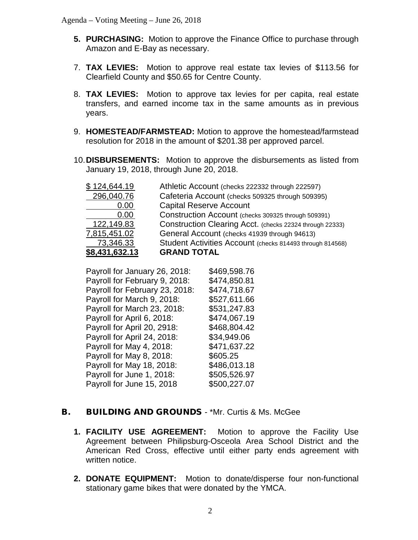- **5. PURCHASING:** Motion to approve the Finance Office to purchase through Amazon and E-Bay as necessary.
- 7. **TAX LEVIES:** Motion to approve real estate tax levies of \$113.56 for Clearfield County and \$50.65 for Centre County.
- 8. **TAX LEVIES:** Motion to approve tax levies for per capita, real estate transfers, and earned income tax in the same amounts as in previous years.
- 9. **HOMESTEAD/FARMSTEAD:** Motion to approve the homestead/farmstead resolution for 2018 in the amount of \$201.38 per approved parcel.
- 10.**DISBURSEMENTS:** Motion to approve the disbursements as listed from January 19, 2018, through June 20, 2018.

| \$124,644.19   | Athletic Account (checks 222332 through 222597)           |
|----------------|-----------------------------------------------------------|
| 296,040.76     | Cafeteria Account (checks 509325 through 509395)          |
| 0.00           | <b>Capital Reserve Account</b>                            |
| 0.00           | Construction Account (checks 309325 through 509391)       |
| 122,149.83     | Construction Clearing Acct. (checks 22324 through 22333)  |
| 7,815,451.02   | General Account (checks 41939 through 94613)              |
| 73,346.33      | Student Activities Account (checks 814493 through 814568) |
| \$8,431,632.13 | <b>GRAND TOTAL</b>                                        |

Payroll for January 26, 2018: \$469,598,76 Payroll for February 9, 2018: \$474,850.81 Payroll for February 23, 2018: \$474,718.67 Payroll for March 9, 2018: \$527,611.66 Payroll for March 23, 2018: \$531,247.83 Payroll for April 6, 2018: \$474,067.19 Payroll for April 20, 2918: \$468,804.42 Payroll for April 24, 2018: \$34,949.06 Payroll for May 4, 2018: \$471,637.22 Payroll for May 8, 2018: \$605.25 Payroll for May 18, 2018: \$486,013.18 Payroll for June 1, 2018: \$505,526.97 Payroll for June 15, 2018 \$500,227.07

## **B.** BUILDING AND GROUNDS - \*Mr. Curtis & Ms. McGee

- **1. FACILITY USE AGREEMENT:** Motion to approve the Facility Use Agreement between Philipsburg-Osceola Area School District and the American Red Cross, effective until either party ends agreement with written notice.
- **2. DONATE EQUIPMENT:** Motion to donate/disperse four non-functional stationary game bikes that were donated by the YMCA.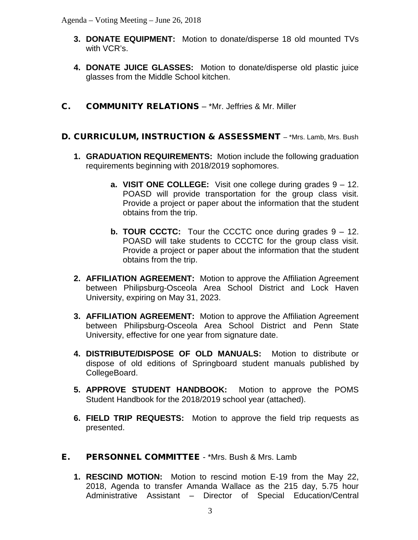- **3. DONATE EQUIPMENT:** Motion to donate/disperse 18 old mounted TVs with VCR's.
- **4. DONATE JUICE GLASSES:** Motion to donate/disperse old plastic juice glasses from the Middle School kitchen.
- C. COMMUNITY RELATIONS \*Mr. Jeffries & Mr. Miller
- D. CURRICULUM, INSTRUCTION & ASSESSMENT \*Mrs. Lamb, Mrs. Bush
	- **1. GRADUATION REQUIREMENTS:** Motion include the following graduation requirements beginning with 2018/2019 sophomores.
		- **a. VISIT ONE COLLEGE:** Visit one college during grades 9 12. POASD will provide transportation for the group class visit. Provide a project or paper about the information that the student obtains from the trip.
		- **b. TOUR CCCTC:** Tour the CCCTC once during grades 9 12. POASD will take students to CCCTC for the group class visit. Provide a project or paper about the information that the student obtains from the trip.
	- **2. AFFILIATION AGREEMENT:** Motion to approve the Affiliation Agreement between Philipsburg-Osceola Area School District and Lock Haven University, expiring on May 31, 2023.
	- **3. AFFILIATION AGREEMENT:** Motion to approve the Affiliation Agreement between Philipsburg-Osceola Area School District and Penn State University, effective for one year from signature date.
	- **4. DISTRIBUTE/DISPOSE OF OLD MANUALS:** Motion to distribute or dispose of old editions of Springboard student manuals published by CollegeBoard.
	- **5. APPROVE STUDENT HANDBOOK:** Motion to approve the POMS Student Handbook for the 2018/2019 school year (attached).
	- **6. FIELD TRIP REQUESTS:** Motion to approve the field trip requests as presented.
- E. PERSONNEL COMMITTEE \*Mrs. Bush & Mrs. Lamb
	- **1. RESCIND MOTION:** Motion to rescind motion E-19 from the May 22, 2018, Agenda to transfer Amanda Wallace as the 215 day, 5.75 hour Administrative Assistant – Director of Special Education/Central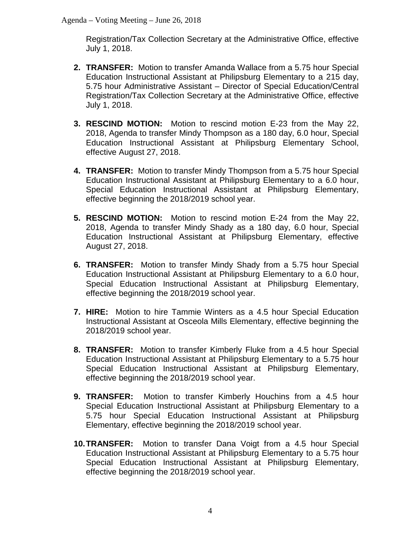Registration/Tax Collection Secretary at the Administrative Office, effective July 1, 2018.

- **2. TRANSFER:** Motion to transfer Amanda Wallace from a 5.75 hour Special Education Instructional Assistant at Philipsburg Elementary to a 215 day, 5.75 hour Administrative Assistant – Director of Special Education/Central Registration/Tax Collection Secretary at the Administrative Office, effective July 1, 2018.
- **3. RESCIND MOTION:** Motion to rescind motion E-23 from the May 22, 2018, Agenda to transfer Mindy Thompson as a 180 day, 6.0 hour, Special Education Instructional Assistant at Philipsburg Elementary School, effective August 27, 2018.
- **4. TRANSFER:** Motion to transfer Mindy Thompson from a 5.75 hour Special Education Instructional Assistant at Philipsburg Elementary to a 6.0 hour, Special Education Instructional Assistant at Philipsburg Elementary, effective beginning the 2018/2019 school year.
- **5. RESCIND MOTION:** Motion to rescind motion E-24 from the May 22, 2018, Agenda to transfer Mindy Shady as a 180 day, 6.0 hour, Special Education Instructional Assistant at Philipsburg Elementary, effective August 27, 2018.
- **6. TRANSFER:** Motion to transfer Mindy Shady from a 5.75 hour Special Education Instructional Assistant at Philipsburg Elementary to a 6.0 hour, Special Education Instructional Assistant at Philipsburg Elementary, effective beginning the 2018/2019 school year.
- **7. HIRE:** Motion to hire Tammie Winters as a 4.5 hour Special Education Instructional Assistant at Osceola Mills Elementary, effective beginning the 2018/2019 school year.
- **8. TRANSFER:** Motion to transfer Kimberly Fluke from a 4.5 hour Special Education Instructional Assistant at Philipsburg Elementary to a 5.75 hour Special Education Instructional Assistant at Philipsburg Elementary, effective beginning the 2018/2019 school year.
- **9. TRANSFER:** Motion to transfer Kimberly Houchins from a 4.5 hour Special Education Instructional Assistant at Philipsburg Elementary to a 5.75 hour Special Education Instructional Assistant at Philipsburg Elementary, effective beginning the 2018/2019 school year.
- **10.TRANSFER:** Motion to transfer Dana Voigt from a 4.5 hour Special Education Instructional Assistant at Philipsburg Elementary to a 5.75 hour Special Education Instructional Assistant at Philipsburg Elementary, effective beginning the 2018/2019 school year.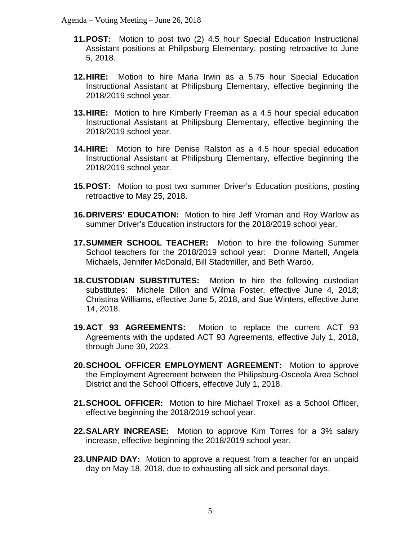- **11.POST:** Motion to post two (2) 4.5 hour Special Education Instructional Assistant positions at Philipsburg Elementary, posting retroactive to June 5, 2018.
- **12.HIRE:** Motion to hire Maria Irwin as a 5.75 hour Special Education Instructional Assistant at Philipsburg Elementary, effective beginning the 2018/2019 school year.
- **13.HIRE:** Motion to hire Kimberly Freeman as a 4.5 hour special education Instructional Assistant at Philipsburg Elementary, effective beginning the 2018/2019 school year.
- **14.HIRE:** Motion to hire Denise Ralston as a 4.5 hour special education Instructional Assistant at Philipsburg Elementary, effective beginning the 2018/2019 school year.
- **15.POST:** Motion to post two summer Driver's Education positions, posting retroactive to May 25, 2018.
- **16.DRIVERS' EDUCATION:** Motion to hire Jeff Vroman and Roy Warlow as summer Driver's Education instructors for the 2018/2019 school year.
- **17.SUMMER SCHOOL TEACHER:** Motion to hire the following Summer School teachers for the 2018/2019 school year: Dionne Martell, Angela Michaels, Jennifer McDonald, Bill Stadtmiller, and Beth Wardo.
- **18.CUSTODIAN SUBSTITUTES:** Motion to hire the following custodian substitutes: Michele Dillon and Wilma Foster, effective June 4, 2018; Christina Williams, effective June 5, 2018, and Sue Winters, effective June 14, 2018.
- **19.ACT 93 AGREEMENTS:** Motion to replace the current ACT 93 Agreements with the updated ACT 93 Agreements, effective July 1, 2018, through June 30, 2023.
- **20.SCHOOL OFFICER EMPLOYMENT AGREEMENT:** Motion to approve the Employment Agreement between the Philipsburg-Osceola Area School District and the School Officers, effective July 1, 2018.
- **21.SCHOOL OFFICER:** Motion to hire Michael Troxell as a School Officer, effective beginning the 2018/2019 school year.
- **22.SALARY INCREASE:** Motion to approve Kim Torres for a 3% salary increase, effective beginning the 2018/2019 school year.
- **23.UNPAID DAY:** Motion to approve a request from a teacher for an unpaid day on May 18, 2018, due to exhausting all sick and personal days.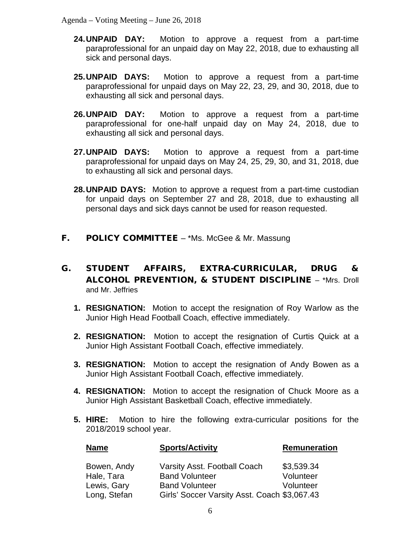- **24.UNPAID DAY:** Motion to approve a request from a part-time paraprofessional for an unpaid day on May 22, 2018, due to exhausting all sick and personal days.
- **25.UNPAID DAYS:** Motion to approve a request from a part-time paraprofessional for unpaid days on May 22, 23, 29, and 30, 2018, due to exhausting all sick and personal days.
- **26.UNPAID DAY:** Motion to approve a request from a part-time paraprofessional for one-half unpaid day on May 24, 2018, due to exhausting all sick and personal days.
- **27.UNPAID DAYS:** Motion to approve a request from a part-time paraprofessional for unpaid days on May 24, 25, 29, 30, and 31, 2018, due to exhausting all sick and personal days.
- **28.UNPAID DAYS:** Motion to approve a request from a part-time custodian for unpaid days on September 27 and 28, 2018, due to exhausting all personal days and sick days cannot be used for reason requested.
- **F.** POLICY COMMITTEE \*Ms. McGee & Mr. Massung
- G. STUDENT AFFAIRS, EXTRA-CURRICULAR, DRUG & ALCOHOL PREVENTION, & STUDENT DISCIPLINE – \*Mrs. Droll and Mr. Jeffries
	- **1. RESIGNATION:** Motion to accept the resignation of Roy Warlow as the Junior High Head Football Coach, effective immediately.
	- **2. RESIGNATION:** Motion to accept the resignation of Curtis Quick at a Junior High Assistant Football Coach, effective immediately.
	- **3. RESIGNATION:** Motion to accept the resignation of Andy Bowen as a Junior High Assistant Football Coach, effective immediately.
	- **4. RESIGNATION:** Motion to accept the resignation of Chuck Moore as a Junior High Assistant Basketball Coach, effective immediately.
	- **5. HIRE:** Motion to hire the following extra-curricular positions for the 2018/2019 school year.

| <b>Name</b>                                              | <b>Sports/Activity</b>                                                                                                         | Remuneration                         |
|----------------------------------------------------------|--------------------------------------------------------------------------------------------------------------------------------|--------------------------------------|
| Bowen, Andy<br>Hale, Tara<br>Lewis, Gary<br>Long, Stefan | Varsity Asst. Football Coach<br><b>Band Volunteer</b><br><b>Band Volunteer</b><br>Girls' Soccer Varsity Asst. Coach \$3,067.43 | \$3,539.34<br>Volunteer<br>Volunteer |